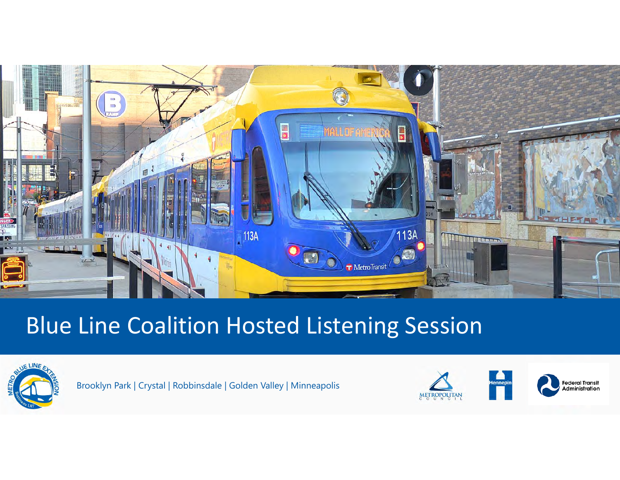

### Blue Line Coalition Hosted Listening Session



Brooklyn Park | Crystal | Robbinsdale | Golden Valley | Minneapolis

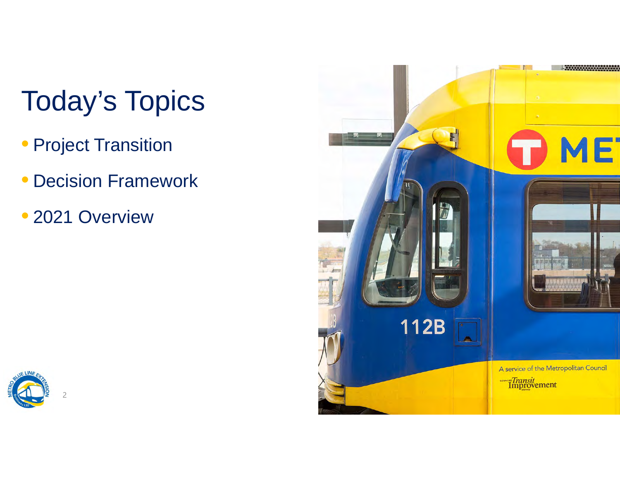# Today's Topics

- Project Transition
- Decision Framework
- •2021 Overview



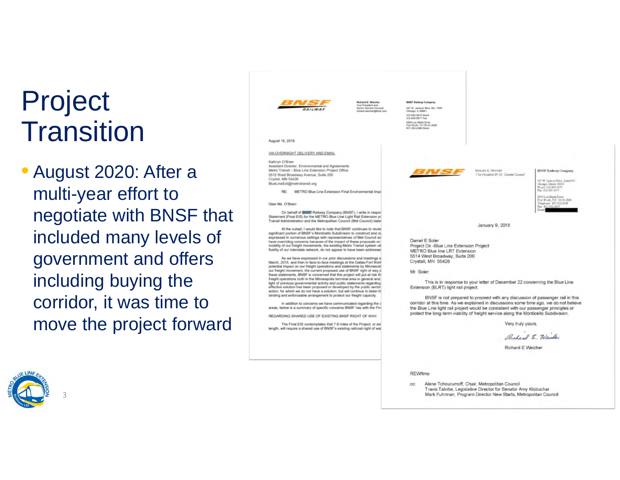# Project **Transition**

• August 2020: After a multi-year effort to negotiate with BNSF that included many levels of government and offers including buying the corridor, it was time to move the project forward



SAT W. Jackson Blvd. Ste. 1529. on. IL 60661 1500 Lou Menk Drive Vorth, TX 76131-2828

#### August 16, 2016

VIA OVERNIGHT DELIVERY AND EMAIL

Kathryn O'Brien Assistant Director, Environmental and Agreements Metro Transit -- Blue Line Extension Project Office

5512 West Broadway Avenue, Suite 200 Crystal, MN 55428 BlueLineExt@metrotransit.org

> METRO Blue Line Extension Final Environmental Imp. **RE**

Dear Ms. O'Brien:

On behalf of **BNSF** Railway Company (BNSF), I write in respon<br>Statement (Final EIS) for the METRO Blue Line Light Rail Extension pr Transit Administration and the Metropolitan Council (Met Council) date

At the outset, I would like to note that BNSF continues to review significant portion of BNSF's Monticello Subdivision to construct and op expressed in numerous settings with representatives of Met Council an have overriding concerns because of the impact of these proposals on mobility of our freight movements, the existing Metro Transit system util fluidity of our interstate network, do not appear to have been addressed

As we have expressed in our prior discussions and meetings v<br>March, 2015, and then in face-to-face meetings at the Dailas-Fort Wor potential impact on our freight operations and statements by Minnesoti<br>our freight movement, the current proposed use of BNSF right of way p these statements, BNSF is concerned that this project will put at risk the freight operations both in the Minneapolis terminal area in general and light of previous governmental activity and public statements regarding<br>effective solution has been proposed or developed by the public sector action, for which we do not have a solution; but will continue to listen for binding and enforceable arrangement to protect our freight capacity.

In addition to concerns we have communicated regarding the o areas, below is a summary of specific concerns BNSF has with the Fini

REGARDING SHARED USE OF EXISTING BNSF RIGHT OF WAY

The Final EIS contemplates that 7.8 miles of the Project, or six length, will require a shared use of BNSF's existing railroad right of way



**ENSP Railway Company** Vice President & Se. General Cewarel

547 W. Jackson Blvd., Justel 500<br>Change, Dimon 10664<br>Pluase 312-850-5679<br>Plus 312-850-5679

**2501 Lou Menk Diges** int Worth, T.C. 70131-2829

January 9, 2018

**REMARKS WINDOW** 

Daniel E Soler Project Dir -Blue Line Extension Project METRO Blue line LRT Extension 5514 West Broadway, Suite 200 Crystall, MN 55428

Mr. Solen

This is in response to your letter of December 22 concerning the Blue Line Extension (BLRT) light rail project.

BNSF is not prepared to proceed with any discussion of passenger rail in this corridor at this time. As we explained in discussions some time ago, we do not believe the Blue Line light rail project would be consistent with our passenger principles or protect the long-term viability of freight service along the Monticello Subdivision.

Very truly yours.

Richard E. Weiker

Richard E Weicher

**REW/tmo** 

cc: Alene Tchourumoff, Chair, Metropolitan Council Travis Talvitie, Legislative Director for Senator Amy Klobuchar Mark Fuhrman, Program Director New Starts, Metropolitan Council



3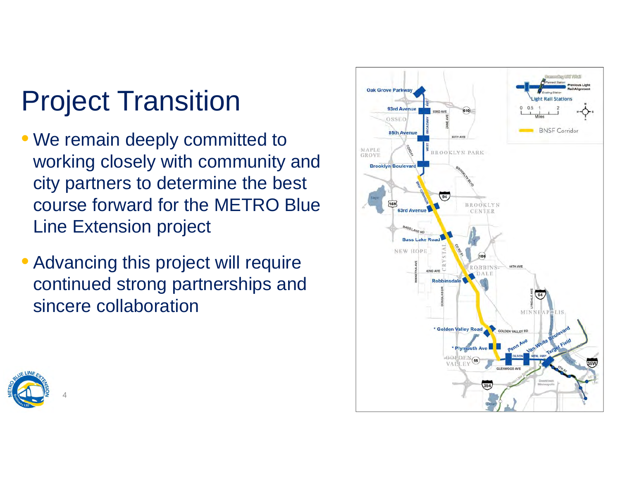# Project Transition

- We remain deeply committed to working closely with community and city partners to determine the best course forward for the METRO Blue Line Extension project
- Advancing this project will require continued strong partnerships and sincere collaboration



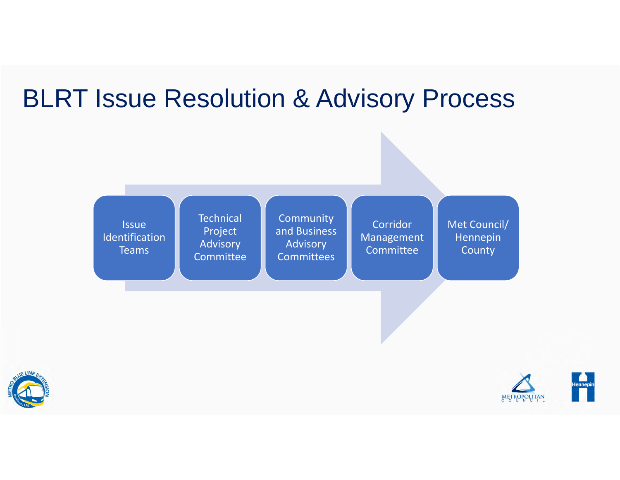# BLRT Issue Resolution & Advisory Process





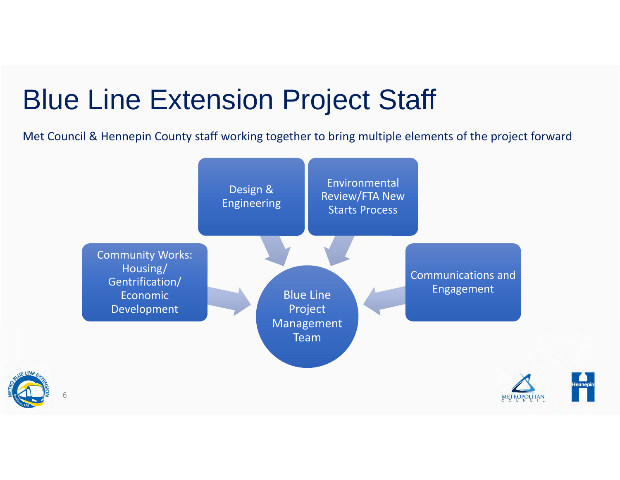# Blue Line Extension Project Staff

Met Council & Hennepin County staff working together to bring multiple elements of the project forward

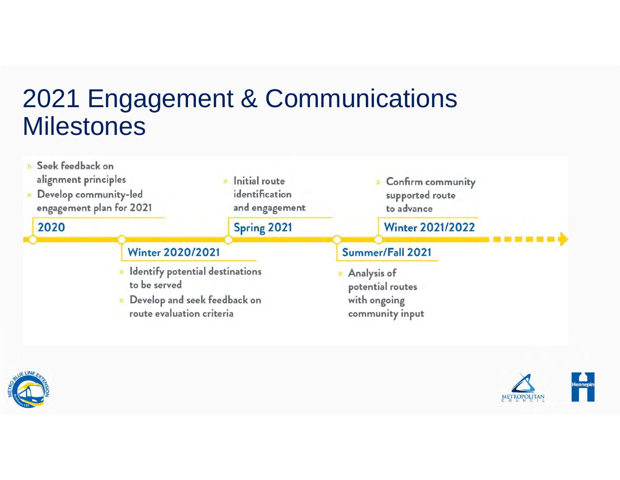## 2021 Engagement & Communications **Milestones**





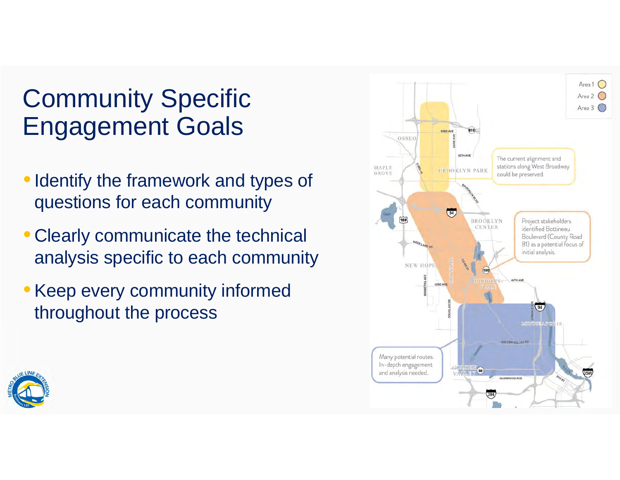# Community Specific Engagement Goals

- Identify the framework and types of questions for each community
- Clearly communicate the technical analysis specific to each community
- Keep every community informed throughout the process